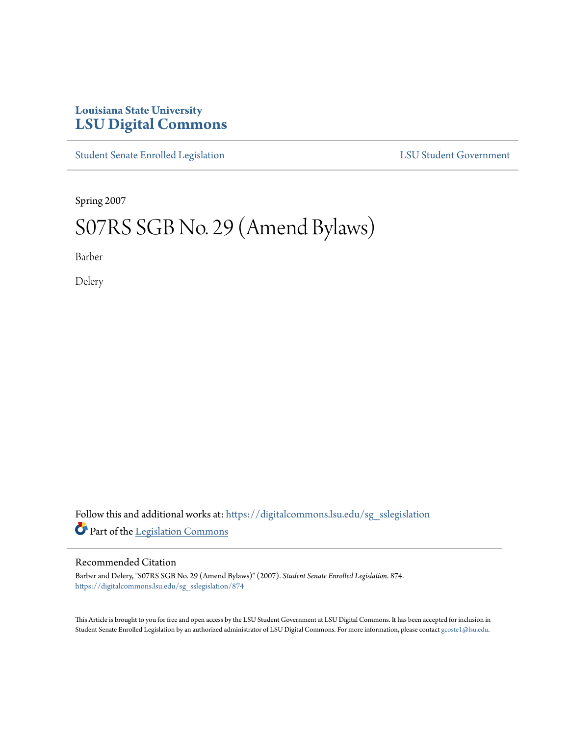## **Louisiana State University [LSU Digital Commons](https://digitalcommons.lsu.edu?utm_source=digitalcommons.lsu.edu%2Fsg_sslegislation%2F874&utm_medium=PDF&utm_campaign=PDFCoverPages)**

[Student Senate Enrolled Legislation](https://digitalcommons.lsu.edu/sg_sslegislation?utm_source=digitalcommons.lsu.edu%2Fsg_sslegislation%2F874&utm_medium=PDF&utm_campaign=PDFCoverPages) [LSU Student Government](https://digitalcommons.lsu.edu/sg?utm_source=digitalcommons.lsu.edu%2Fsg_sslegislation%2F874&utm_medium=PDF&utm_campaign=PDFCoverPages)

Spring 2007

## S07RS SGB No. 29 (Amend Bylaws)

Barber

Delery

Follow this and additional works at: [https://digitalcommons.lsu.edu/sg\\_sslegislation](https://digitalcommons.lsu.edu/sg_sslegislation?utm_source=digitalcommons.lsu.edu%2Fsg_sslegislation%2F874&utm_medium=PDF&utm_campaign=PDFCoverPages) Part of the [Legislation Commons](http://network.bepress.com/hgg/discipline/859?utm_source=digitalcommons.lsu.edu%2Fsg_sslegislation%2F874&utm_medium=PDF&utm_campaign=PDFCoverPages)

## Recommended Citation

Barber and Delery, "S07RS SGB No. 29 (Amend Bylaws)" (2007). *Student Senate Enrolled Legislation*. 874. [https://digitalcommons.lsu.edu/sg\\_sslegislation/874](https://digitalcommons.lsu.edu/sg_sslegislation/874?utm_source=digitalcommons.lsu.edu%2Fsg_sslegislation%2F874&utm_medium=PDF&utm_campaign=PDFCoverPages)

This Article is brought to you for free and open access by the LSU Student Government at LSU Digital Commons. It has been accepted for inclusion in Student Senate Enrolled Legislation by an authorized administrator of LSU Digital Commons. For more information, please contact [gcoste1@lsu.edu.](mailto:gcoste1@lsu.edu)